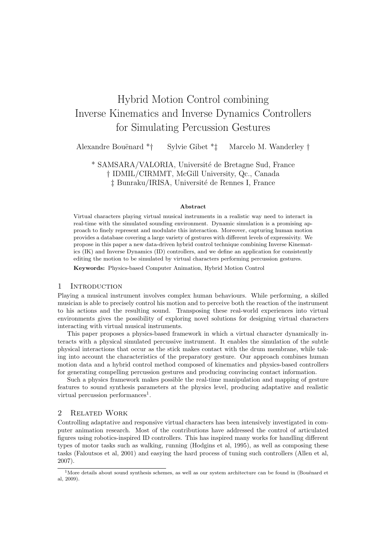# Hybrid Motion Control combining Inverse Kinematics and Inverse Dynamics Controllers for Simulating Percussion Gestures

Alexandre Bouënard \*† Sylvie Gibet \*<sup>†</sup> Marcelo M. Wanderley †

\* SAMSARA/VALORIA, Université de Bretagne Sud, France † IDMIL/CIRMMT, McGill University, Qc., Canada  $\ddagger$  Bunraku/IRISA, Université de Rennes I, France

#### Abstract

Virtual characters playing virtual musical instruments in a realistic way need to interact in real-time with the simulated sounding environment. Dynamic simulation is a promising approach to finely represent and modulate this interaction. Moreover, capturing human motion provides a database covering a large variety of gestures with different levels of expressivity. We propose in this paper a new data-driven hybrid control technique combining Inverse Kinematics (IK) and Inverse Dynamics (ID) controllers, and we define an application for consistently editing the motion to be simulated by virtual characters performing percussion gestures.

Keywords: Physics-based Computer Animation, Hybrid Motion Control

# 1 INTRODUCTION

Playing a musical instrument involves complex human behaviours. While performing, a skilled musician is able to precisely control his motion and to perceive both the reaction of the instrument to his actions and the resulting sound. Transposing these real-world experiences into virtual environments gives the possibility of exploring novel solutions for designing virtual characters interacting with virtual musical instruments.

This paper proposes a physics-based framework in which a virtual character dynamically interacts with a physical simulated percussive instrument. It enables the simulation of the subtle physical interactions that occur as the stick makes contact with the drum membrane, while taking into account the characteristics of the preparatory gesture. Our approach combines human motion data and a hybrid control method composed of kinematics and physics-based controllers for generating compelling percussion gestures and producing convincing contact information.

Such a physics framework makes possible the real-time manipulation and mapping of gesture features to sound synthesis parameters at the physics level, producing adaptative and realistic virtual percussion performances<sup>1</sup>.

## 2 Related Work

Controlling adaptative and responsive virtual characters has been intensively investigated in computer animation research. Most of the contributions have addressed the control of articulated figures using robotics-inspired ID controllers. This has inspired many works for handling different types of motor tasks such as walking, running (Hodgins et al, 1995), as well as composing these tasks (Faloutsos et al, 2001) and easying the hard process of tuning such controllers (Allen et al, 2007).

 $1$ More details about sound synthesis schemes, as well as our system architecture can be found in (Bouënard et al, 2009).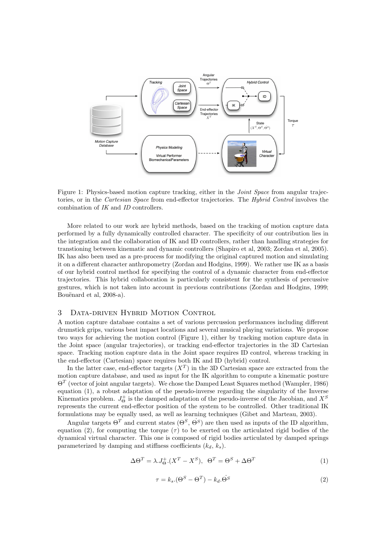

Figure 1: Physics-based motion capture tracking, either in the *Joint Space* from angular trajectories, or in the Cartesian Space from end-effector trajectories. The Hybrid Control involves the combination of IK and ID controllers.

More related to our work are hybrid methods, based on the tracking of motion capture data performed by a fully dynamically controlled character. The specificity of our contribution lies in the integration and the collaboration of IK and ID controllers, rather than handling strategies for transtioning between kinematic and dynamic controllers (Shapiro et al, 2003; Zordan et al, 2005). IK has also been used as a pre-process for modifying the original captured motion and simulating it on a different character anthropometry (Zordan and Hodgins, 1999). We rather use IK as a basis of our hybrid control method for specifying the control of a dynamic character from end-effector trajectories. This hybrid collaboration is particularly consistent for the synthesis of percussive gestures, which is not taken into account in previous contributions (Zordan and Hodgins, 1999; Bouënard et al, 2008-a).

# 3 Data-driven Hybrid Motion Control

A motion capture database contains a set of various percussion performances including different drumstick grips, various beat impact locations and several musical playing variations. We propose two ways for achieving the motion control (Figure 1), either by tracking motion capture data in the Joint space (angular trajectories), or tracking end-effector trajectories in the 3D Cartesian space. Tracking motion capture data in the Joint space requires ID control, whereas tracking in the end-effector (Cartesian) space requires both IK and ID (hybrid) control.

In the latter case, end-effector targets  $(X^T)$  in the 3D Cartesian space are extracted from the motion capture database, and used as input for the IK algorithm to compute a kinematic posture  $\Theta^T$  (vector of joint angular targets). We chose the Damped Least Squares method (Wampler, 1986) equation (1), a robust adaptation of the pseudo-inverse regarding the singularity of the Inverse Kinematics problem.  $J_{\Theta}^+$  is the damped adaptation of the pseudo-inverse of the Jacobian, and  $X^S$ represents the current end-effector position of the system to be controlled. Other traditional IK formulations may be equally used, as well as learning techniques (Gibet and Marteau, 2003).

Angular targets  $\Theta^T$  and current states  $(\Theta^S, \dot{\Theta}^S)$  are then used as inputs of the ID algorithm, equation (2), for computing the torque ( $\tau$ ) to be exerted on the articulated rigid bodies of the dynamical virtual character. This one is composed of rigid bodies articulated by damped springs parameterized by damping and stiffness coefficients  $(k_d, k_s)$ .

$$
\Delta \Theta^T = \lambda J^+_{\Theta} (X^T - X^S), \ \ \Theta^T = \Theta^S + \Delta \Theta^T \tag{1}
$$

$$
\tau = k_s \cdot (\Theta^S - \Theta^T) - k_d \cdot \Theta^S \tag{2}
$$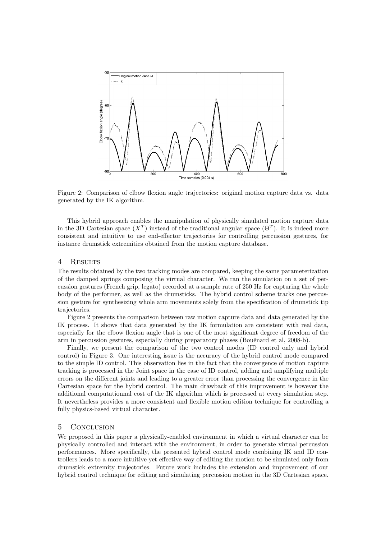

Figure 2: Comparison of elbow flexion angle trajectories: original motion capture data vs. data generated by the IK algorithm.

This hybrid approach enables the manipulation of physically simulated motion capture data in the 3D Cartesian space  $(X^T)$  instead of the traditional angular space  $(\Theta^T)$ . It is indeed more consistent and intuitive to use end-effector trajectories for controlling percussion gestures, for instance drumstick extremities obtained from the motion capture database.

# 4 Results

The results obtained by the two tracking modes are compared, keeping the same parameterization of the damped springs composing the virtual character. We ran the simulation on a set of percussion gestures (French grip, legato) recorded at a sample rate of 250 Hz for capturing the whole body of the performer, as well as the drumsticks. The hybrid control scheme tracks one percussion gesture for synthesizing whole arm movements solely from the specification of drumstick tip trajectories.

Figure 2 presents the comparison between raw motion capture data and data generated by the IK process. It shows that data generated by the IK formulation are consistent with real data, especially for the elbow flexion angle that is one of the most significant degree of freedom of the arm in percussion gestures, especially during preparatory phases (Bouënard et al, 2008-b).

Finally, we present the comparison of the two control modes (ID control only and hybrid control) in Figure 3. One interesting issue is the accuracy of the hybrid control mode compared to the simple ID control. This observation lies in the fact that the convergence of motion capture tracking is processed in the Joint space in the case of ID control, adding and amplifying multiple errors on the different joints and leading to a greater error than processing the convergence in the Cartesian space for the hybrid control. The main drawback of this improvement is however the additional computationnal cost of the IK algorithm which is processed at every simulation step. It nevertheless provides a more consistent and flexible motion edition technique for controlling a fully physics-based virtual character.

#### 5 Conclusion

We proposed in this paper a physically-enabled environment in which a virtual character can be physically controlled and interact with the environment, in order to generate virtual percussion performances. More specifically, the presented hybrid control mode combining IK and ID controllers leads to a more intuitive yet effective way of editing the motion to be simulated only from drumstick extremity trajectories. Future work includes the extension and improvement of our hybrid control technique for editing and simulating percussion motion in the 3D Cartesian space.